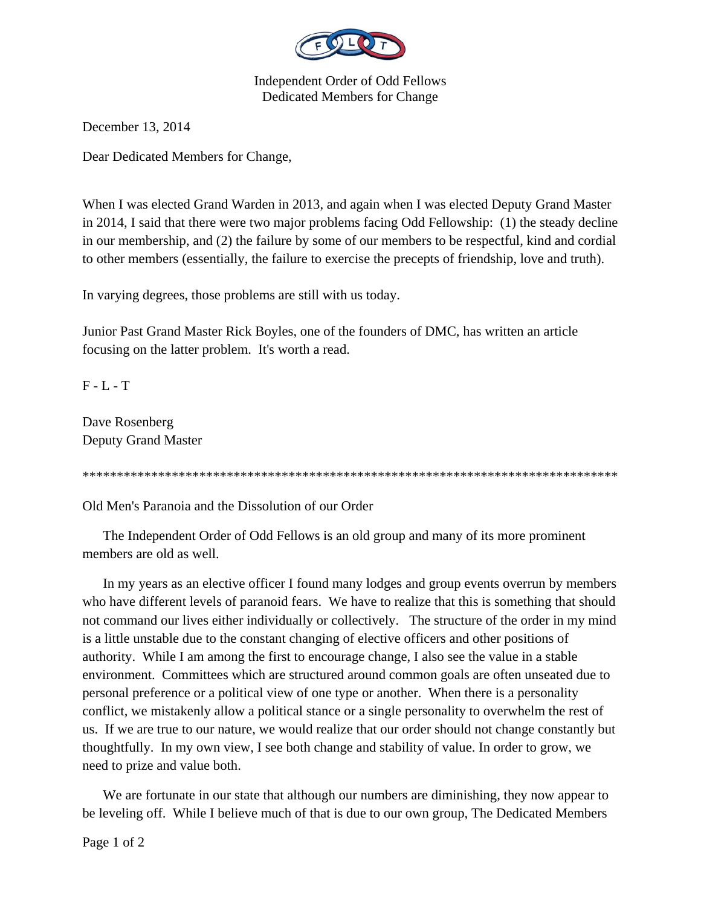

Independent Order of Odd Fellows Dedicated Members for Change

December 13, 2014

Dear Dedicated Members for Change,

When I was elected Grand Warden in 2013, and again when I was elected Deputy Grand Master in 2014, I said that there were two major problems facing Odd Fellowship: (1) the steady decline in our membership, and (2) the failure by some of our members to be respectful, kind and cordial to other members (essentially, the failure to exercise the precepts of friendship, love and truth).

In varying degrees, those problems are still with us today.

Junior Past Grand Master Rick Boyles, one of the founders of DMC, has written an article focusing on the latter problem. It's worth a read.

F - L - T

Dave Rosenberg Deputy Grand Master

\*\*\*\*\*\*\*\*\*\*\*\*\*\*\*\*\*\*\*\*\*\*\*\*\*\*\*\*\*\*\*\*\*\*\*\*\*\*\*\*\*\*\*\*\*\*\*\*\*\*\*\*\*\*\*\*\*\*\*\*\*\*\*\*\*\*\*\*\*\*\*\*\*\*\*\*\*\*

Old Men's Paranoia and the Dissolution of our Order

 The Independent Order of Odd Fellows is an old group and many of its more prominent members are old as well.

 In my years as an elective officer I found many lodges and group events overrun by members who have different levels of paranoid fears. We have to realize that this is something that should not command our lives either individually or collectively. The structure of the order in my mind is a little unstable due to the constant changing of elective officers and other positions of authority. While I am among the first to encourage change, I also see the value in a stable environment. Committees which are structured around common goals are often unseated due to personal preference or a political view of one type or another. When there is a personality conflict, we mistakenly allow a political stance or a single personality to overwhelm the rest of us. If we are true to our nature, we would realize that our order should not change constantly but thoughtfully. In my own view, I see both change and stability of value. In order to grow, we need to prize and value both.

 We are fortunate in our state that although our numbers are diminishing, they now appear to be leveling off. While I believe much of that is due to our own group, The Dedicated Members